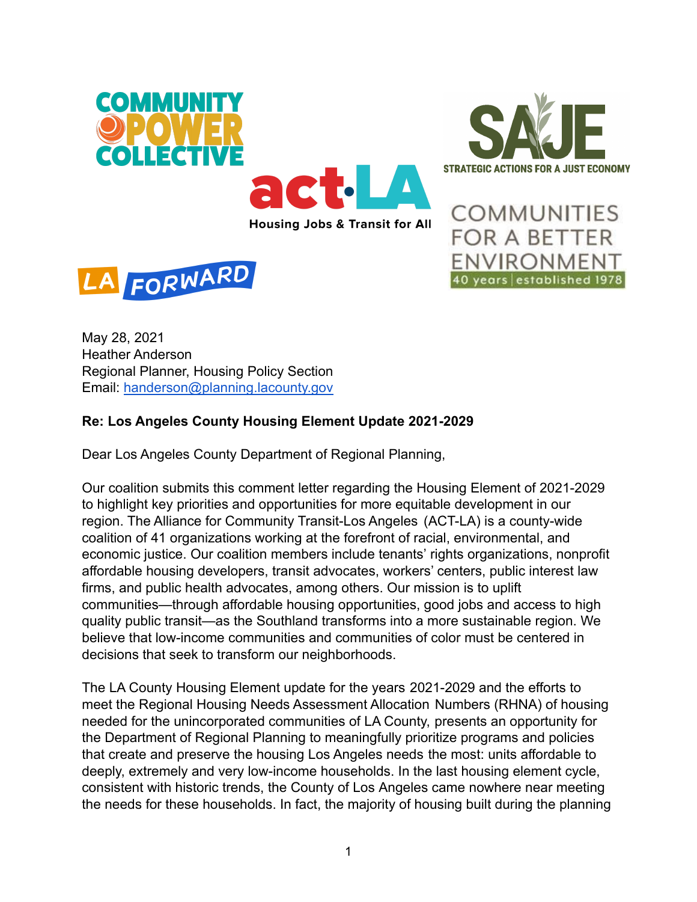



**COMMUNITIES** 

**FOR A BETTER** 

ENVIRONMENT

40 years established 1978



May 28, 2021 Heather Anderson Regional Planner, Housing Policy Section Email: handerson@planning.lacounty.gov

# **Re: Los Angeles County Housing Element Update 2021-2029**

Dear Los Angeles County Department of Regional Planning,

Our coalition submits this comment letter regarding the Housing Element of 2021-2029 to highlight key priorities and opportunities for more equitable development in our region. The Alliance for Community Transit-Los Angeles (ACT-LA) is a county-wide coalition of 41 organizations working at the forefront of racial, environmental, and economic justice. Our coalition members include tenants' rights organizations, nonprofit affordable housing developers, transit advocates, workers' centers, public interest law firms, and public health advocates, among others. Our mission is to uplift communities—through affordable housing opportunities, good jobs and access to high quality public transit—as the Southland transforms into a more sustainable region. We believe that low-income communities and communities of color must be centered in decisions that seek to transform our neighborhoods.

The LA County Housing Element update for the years 2021-2029 and the efforts to meet the Regional Housing Needs Assessment Allocation Numbers (RHNA) of housing needed for the unincorporated communities of LA County, presents an opportunity for the Department of Regional Planning to meaningfully prioritize programs and policies that create and preserve the housing Los Angeles needs the most: units affordable to deeply, extremely and very low-income households. In the last housing element cycle, consistent with historic trends, the County of Los Angeles came nowhere near meeting the needs for these households. In fact, the majority of housing built during the planning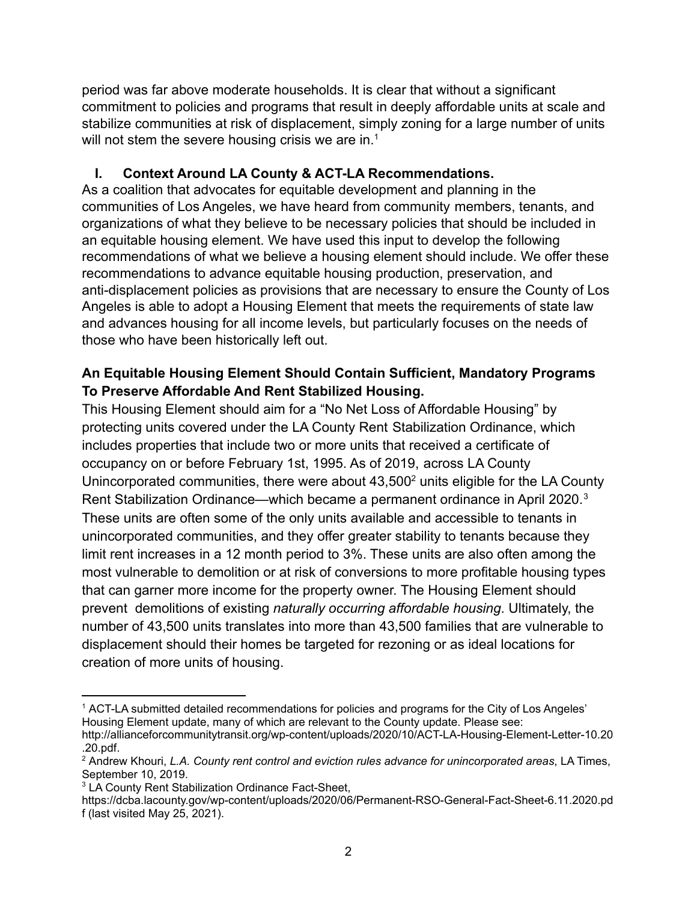period was far above moderate households. It is clear that without a significant commitment to policies and programs that result in deeply affordable units at scale and stabilize communities at risk of displacement, simply zoning for a large number of units will not stem the severe housing crisis we are in.<sup>1</sup>

# **I. Context Around LA County & ACT-LA Recommendations.**

As a coalition that advocates for equitable development and planning in the communities of Los Angeles, we have heard from community members, tenants, and organizations of what they believe to be necessary policies that should be included in an equitable housing element. We have used this input to develop the following recommendations of what we believe a housing element should include. We offer these recommendations to advance equitable housing production, preservation, and anti-displacement policies as provisions that are necessary to ensure the County of Los Angeles is able to adopt a Housing Element that meets the requirements of state law and advances housing for all income levels, but particularly focuses on the needs of those who have been historically left out.

### **An Equitable Housing Element Should Contain Sufficient, Mandatory Programs To Preserve Affordable And Rent Stabilized Housing.**

This Housing Element should aim for a "No Net Loss of Affordable Housing" by protecting units covered under the LA County Rent Stabilization Ordinance, which includes properties that include two or more units that received a certificate of occupancy on or before February 1st, 1995. As of 2019, across LA County Unincorporated communities, there were about  $43,500<sup>2</sup>$  units eligible for the LA County Rent Stabilization Ordinance—which became a permanent ordinance in April 2020.<sup>3</sup> These units are often some of the only units available and accessible to tenants in unincorporated communities, and they offer greater stability to tenants because they limit rent increases in a 12 month period to 3%. These units are also often among the most vulnerable to demolition or at risk of conversions to more profitable housing types that can garner more income for the property owner. The Housing Element should prevent demolitions of existing *naturally occurring affordable housing*. Ultimately, the number of 43,500 units translates into more than 43,500 families that are vulnerable to displacement should their homes be targeted for rezoning or as ideal locations for creation of more units of housing.

<sup>1</sup> ACT-LA submitted detailed recommendations for policies and programs for the City of Los Angeles' Housing Element update, many of which are relevant to the County update. Please see:

http://allianceforcommunitytransit.org/wp-content/uploads/2020/10/ACT-LA-Housing-Element-Letter-10.20 .20.pdf.

<sup>2</sup> Andrew Khouri, *L.A. County rent control and eviction rules advance for unincorporated areas*, LA Times, September 10, 2019.

<sup>3</sup> LA County Rent Stabilization Ordinance Fact-Sheet,

https://dcba.lacounty.gov/wp-content/uploads/2020/06/Permanent-RSO-General-Fact-Sheet-6.11.2020.pd f (last visited May 25, 2021).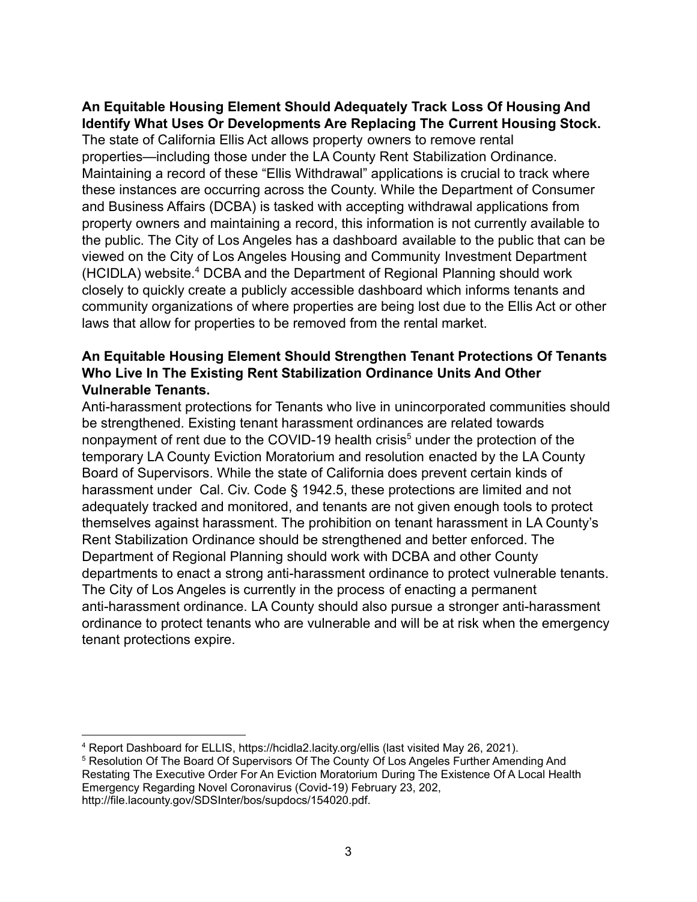#### **An Equitable Housing Element Should Adequately Track Loss Of Housing And Identify What Uses Or Developments Are Replacing The Current Housing Stock.**

The state of California Ellis Act allows property owners to remove rental properties—including those under the LA County Rent Stabilization Ordinance. Maintaining a record of these "Ellis Withdrawal" applications is crucial to track where these instances are occurring across the County. While the Department of Consumer and Business Affairs (DCBA) is tasked with accepting withdrawal applications from property owners and maintaining a record, this information is not currently available to the public. The City of Los Angeles has a dashboard available to the public that can be viewed on the City of Los Angeles Housing and Community Investment Department (HCIDLA) website.<sup>4</sup> DCBA and the Department of Regional Planning should work closely to quickly create a publicly accessible dashboard which informs tenants and community organizations of where properties are being lost due to the Ellis Act or other laws that allow for properties to be removed from the rental market.

#### **An Equitable Housing Element Should Strengthen Tenant Protections Of Tenants Who Live In The Existing Rent Stabilization Ordinance Units And Other Vulnerable Tenants.**

Anti-harassment protections for Tenants who live in unincorporated communities should be strengthened. Existing tenant harassment ordinances are related towards nonpayment of rent due to the COVID-19 health crisis<sup>5</sup> under the protection of the temporary LA County Eviction Moratorium and resolution enacted by the LA County Board of Supervisors. While the state of California does prevent certain kinds of harassment under Cal. Civ. Code § 1942.5, these protections are limited and not adequately tracked and monitored, and tenants are not given enough tools to protect themselves against harassment. The prohibition on tenant harassment in LA County's Rent Stabilization Ordinance should be strengthened and better enforced. The Department of Regional Planning should work with DCBA and other County departments to enact a strong anti-harassment ordinance to protect vulnerable tenants. The City of Los Angeles is currently in the process of enacting a permanent anti-harassment ordinance. LA County should also pursue a stronger anti-harassment ordinance to protect tenants who are vulnerable and will be at risk when the emergency tenant protections expire.

<sup>4</sup> Report Dashboard for ELLIS, https://hcidla2.lacity.org/ellis (last visited May 26, 2021).

<sup>5</sup> Resolution Of The Board Of Supervisors Of The County Of Los Angeles Further Amending And Restating The Executive Order For An Eviction Moratorium During The Existence Of A Local Health Emergency Regarding Novel Coronavirus (Covid-19) February 23, 202, http://file.lacounty.gov/SDSInter/bos/supdocs/154020.pdf.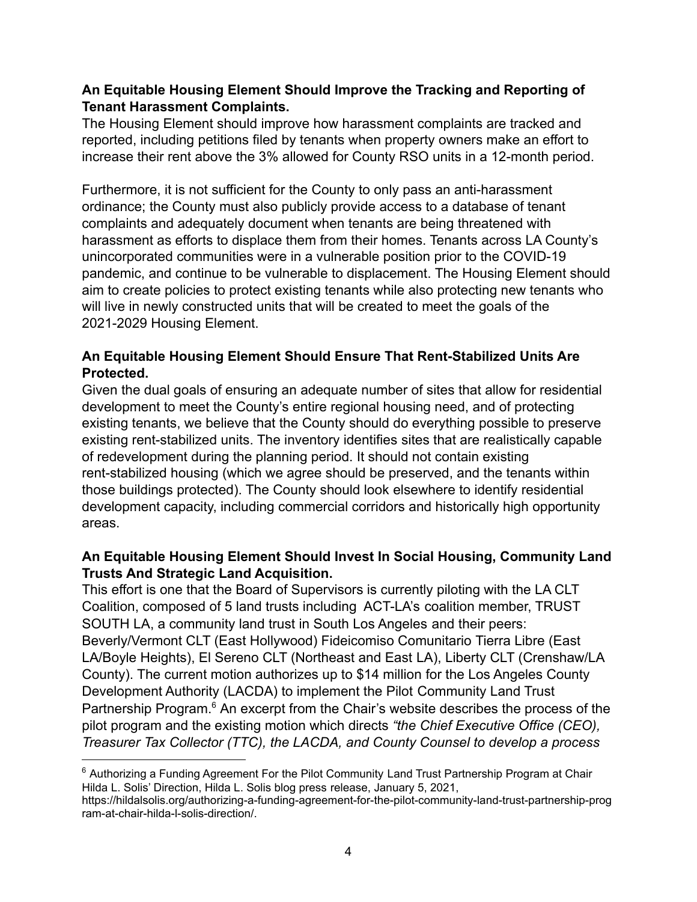#### **An Equitable Housing Element Should Improve the Tracking and Reporting of Tenant Harassment Complaints.**

The Housing Element should improve how harassment complaints are tracked and reported, including petitions filed by tenants when property owners make an effort to increase their rent above the 3% allowed for County RSO units in a 12-month period.

Furthermore, it is not sufficient for the County to only pass an anti-harassment ordinance; the County must also publicly provide access to a database of tenant complaints and adequately document when tenants are being threatened with harassment as efforts to displace them from their homes. Tenants across LA County's unincorporated communities were in a vulnerable position prior to the COVID-19 pandemic, and continue to be vulnerable to displacement. The Housing Element should aim to create policies to protect existing tenants while also protecting new tenants who will live in newly constructed units that will be created to meet the goals of the 2021-2029 Housing Element.

# **An Equitable Housing Element Should Ensure That Rent-Stabilized Units Are Protected.**

Given the dual goals of ensuring an adequate number of sites that allow for residential development to meet the County's entire regional housing need, and of protecting existing tenants, we believe that the County should do everything possible to preserve existing rent-stabilized units. The inventory identifies sites that are realistically capable of redevelopment during the planning period. It should not contain existing rent-stabilized housing (which we agree should be preserved, and the tenants within those buildings protected). The County should look elsewhere to identify residential development capacity, including commercial corridors and historically high opportunity areas.

# **An Equitable Housing Element Should Invest In Social Housing, Community Land Trusts And Strategic Land Acquisition.**

This effort is one that the Board of Supervisors is currently piloting with the LA CLT Coalition, composed of 5 land trusts including ACT-LA's coalition member, TRUST SOUTH LA, a community land trust in South Los Angeles and their peers: Beverly/Vermont CLT (East Hollywood) Fideicomiso Comunitario Tierra Libre (East LA/Boyle Heights), El Sereno CLT (Northeast and East LA), Liberty CLT (Crenshaw/LA County). The current motion authorizes up to \$14 million for the Los Angeles County Development Authority (LACDA) to implement the Pilot Community Land Trust Partnership Program.<sup>6</sup> An excerpt from the Chair's website describes the process of the pilot program and the existing motion which directs *"the Chief Executive Office (CEO), Treasurer Tax Collector (TTC), the LACDA, and County Counsel to develop a process*

 $6$  Authorizing a Funding Agreement For the Pilot Community Land Trust Partnership Program at Chair Hilda L. Solis' Direction, Hilda L. Solis blog press release, January 5, 2021,

https://hildalsolis.org/authorizing-a-funding-agreement-for-the-pilot-community-land-trust-partnership-prog ram-at-chair-hilda-l-solis-direction/.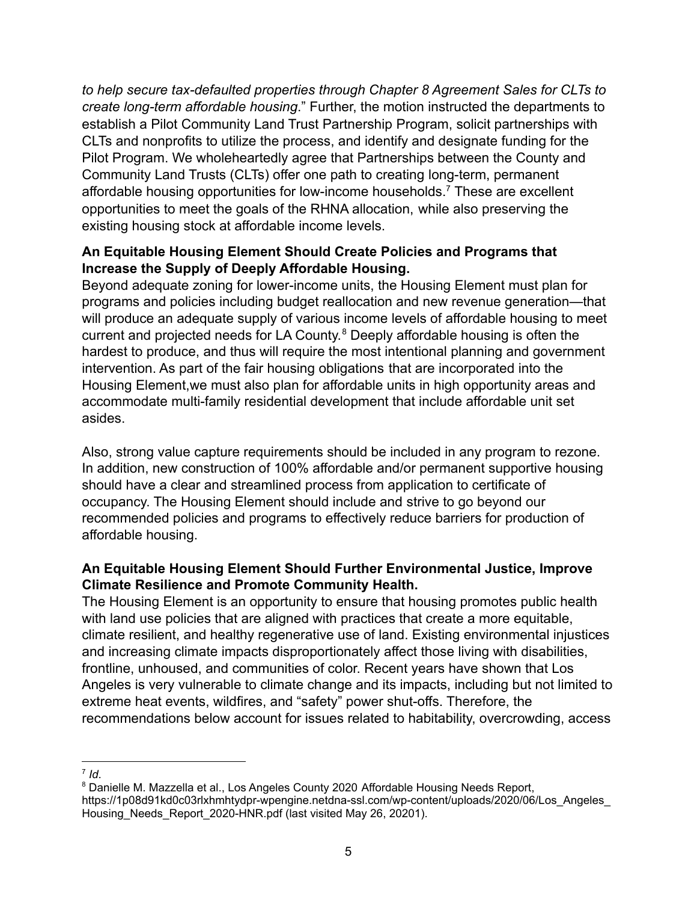*to help secure tax-defaulted properties through Chapter 8 Agreement Sales for CLTs to create long-term affordable housing*." Further, the motion instructed the departments to establish a Pilot Community Land Trust Partnership Program, solicit partnerships with CLTs and nonprofits to utilize the process, and identify and designate funding for the Pilot Program. We wholeheartedly agree that Partnerships between the County and Community Land Trusts (CLTs) offer one path to creating long-term, permanent affordable housing opportunities for low-income households.<sup>7</sup> These are excellent opportunities to meet the goals of the RHNA allocation, while also preserving the existing housing stock at affordable income levels.

### **An Equitable Housing Element Should Create Policies and Programs that Increase the Supply of Deeply Affordable Housing.**

Beyond adequate zoning for lower-income units, the Housing Element must plan for programs and policies including budget reallocation and new revenue generation—that will produce an adequate supply of various income levels of affordable housing to meet current and projected needs for LA County. <sup>8</sup> Deeply affordable housing is often the hardest to produce, and thus will require the most intentional planning and government intervention. As part of the fair housing obligations that are incorporated into the Housing Element,we must also plan for affordable units in high opportunity areas and accommodate multi-family residential development that include affordable unit set asides.

Also, strong value capture requirements should be included in any program to rezone. In addition, new construction of 100% affordable and/or permanent supportive housing should have a clear and streamlined process from application to certificate of occupancy. The Housing Element should include and strive to go beyond our recommended policies and programs to effectively reduce barriers for production of affordable housing.

# **An Equitable Housing Element Should Further Environmental Justice, Improve Climate Resilience and Promote Community Health.**

The Housing Element is an opportunity to ensure that housing promotes public health with land use policies that are aligned with practices that create a more equitable, climate resilient, and healthy regenerative use of land. Existing environmental injustices and increasing climate impacts disproportionately affect those living with disabilities, frontline, unhoused, and communities of color. Recent years have shown that Los Angeles is very vulnerable to climate change and its impacts, including but not limited to extreme heat events, wildfires, and "safety" power shut-offs. Therefore, the recommendations below account for issues related to habitability, overcrowding, access

 $7$  *Id*.

<sup>&</sup>lt;sup>8</sup> Danielle M. Mazzella et al., Los Angeles County 2020 Affordable Housing Needs Report, https://1p08d91kd0c03rlxhmhtydpr-wpengine.netdna-ssl.com/wp-content/uploads/2020/06/Los\_Angeles\_ Housing\_Needs\_Report\_2020-HNR.pdf (last visited May 26, 20201).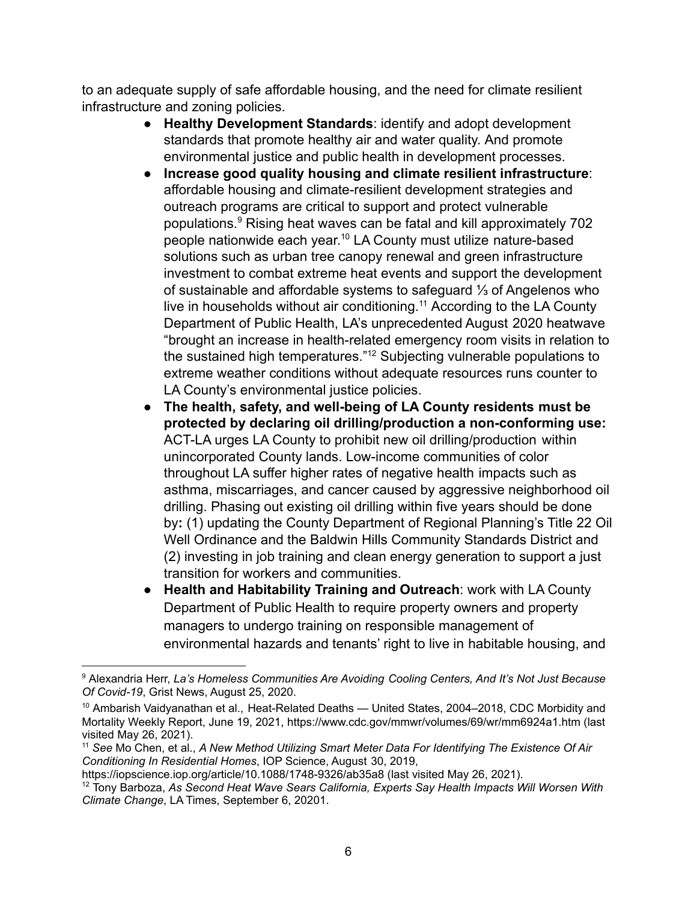to an adequate supply of safe affordable housing, and the need for climate resilient infrastructure and zoning policies.

- **Healthy Development Standards**: identify and adopt development standards that promote healthy air and water quality. And promote environmental justice and public health in development processes.
- **Increase good quality housing and climate resilient infrastructure**: affordable housing and climate-resilient development strategies and outreach programs are critical to support and protect vulnerable populations.9 Rising heat waves can be fatal and kill approximately 702 people nationwide each year. <sup>10</sup> LA County must utilize nature-based solutions such as urban tree canopy renewal and green infrastructure investment to combat extreme heat events and support the development of sustainable and affordable systems to safeguard ⅓ of Angelenos who live in households without air conditioning.<sup>11</sup> According to the LA County Department of Public Health, LA's unprecedented August 2020 heatwave "brought an increase in health-related emergency room visits in relation to the sustained high temperatures."12 Subjecting vulnerable populations to extreme weather conditions without adequate resources runs counter to LA County's environmental justice policies.
- **The health, safety, and well-being of LA County residents must be protected by declaring oil drilling/production a non-conforming use:** ACT-LA urges LA County to prohibit new oil drilling/production within unincorporated County lands. Low-income communities of color throughout LA suffer higher rates of negative health impacts such as asthma, miscarriages, and cancer caused by aggressive neighborhood oil drilling. Phasing out existing oil drilling within five years should be done by**:** (1) updating the County Department of Regional Planning's Title 22 Oil Well Ordinance and the Baldwin Hills Community Standards District and (2) investing in job training and clean energy generation to support a just transition for workers and communities.
- **Health and Habitability Training and Outreach**: work with LA County Department of Public Health to require property owners and property managers to undergo training on responsible management of environmental hazards and tenants' right to live in habitable housing, and

<sup>9</sup> Alexandria Herr, *La's Homeless Communities Are Avoiding Cooling Centers, And It's Not Just Because Of Covid-19*, Grist News, August 25, 2020.

<sup>&</sup>lt;sup>10</sup> Ambarish Vaidyanathan et al., Heat-Related Deaths — United States, 2004-2018, CDC Morbidity and Mortality Weekly Report, June 19, 2021, https://www.cdc.gov/mmwr/volumes/69/wr/mm6924a1.htm (last visited May 26, 2021).

<sup>11</sup> *See* Mo Chen, et al., *A New Method Utilizing Smart Meter Data For Identifying The Existence Of Air Conditioning In Residential Homes*, IOP Science, August 30, 2019,

https://iopscience.iop.org/article/10.1088/1748-9326/ab35a8 (last visited May 26, 2021).

<sup>12</sup> Tony Barboza, *As Second Heat Wave Sears California, Experts Say Health Impacts Will Worsen With Climate Change*, LA Times, September 6, 20201.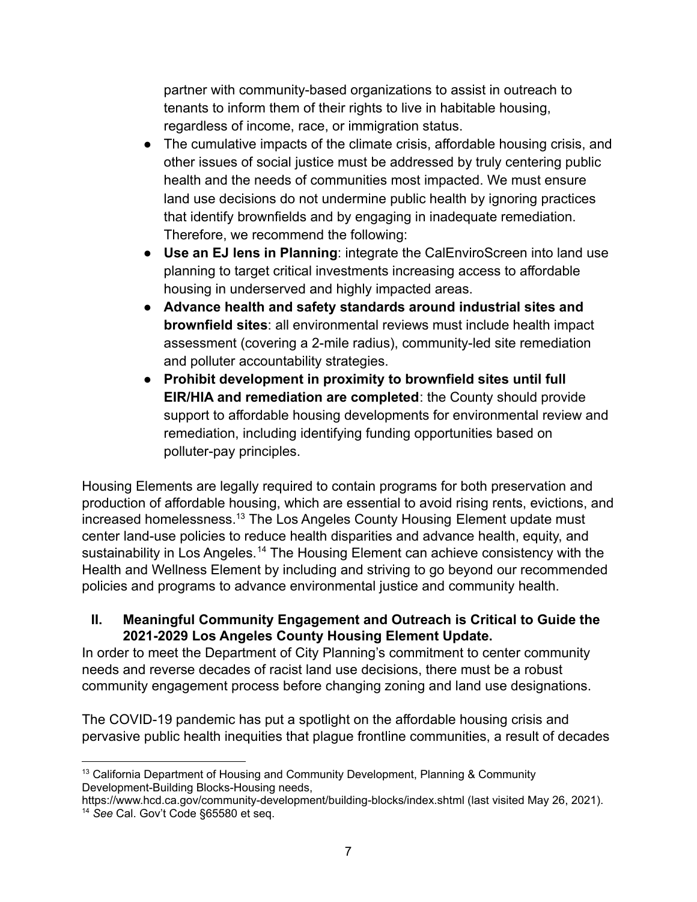partner with community-based organizations to assist in outreach to tenants to inform them of their rights to live in habitable housing, regardless of income, race, or immigration status.

- The cumulative impacts of the climate crisis, affordable housing crisis, and other issues of social justice must be addressed by truly centering public health and the needs of communities most impacted. We must ensure land use decisions do not undermine public health by ignoring practices that identify brownfields and by engaging in inadequate remediation. Therefore, we recommend the following:
- **Use an EJ lens in Planning**: integrate the CalEnviroScreen into land use planning to target critical investments increasing access to affordable housing in underserved and highly impacted areas.
- **Advance health and safety standards around industrial sites and brownfield sites**: all environmental reviews must include health impact assessment (covering a 2-mile radius), community-led site remediation and polluter accountability strategies.
- **Prohibit development in proximity to brownfield sites until full EIR/HIA and remediation are completed**: the County should provide support to affordable housing developments for environmental review and remediation, including identifying funding opportunities based on polluter-pay principles.

Housing Elements are legally required to contain programs for both preservation and production of affordable housing, which are essential to avoid rising rents, evictions, and increased homelessness.<sup>13</sup> The Los Angeles County Housing Element update must center land-use policies to reduce health disparities and advance health, equity, and sustainability in Los Angeles.<sup>14</sup> The Housing Element can achieve consistency with the Health and Wellness Element by including and striving to go beyond our recommended policies and programs to advance environmental justice and community health.

#### **II. Meaningful Community Engagement and Outreach is Critical to Guide the 2021-2029 Los Angeles County Housing Element Update.**

In order to meet the Department of City Planning's commitment to center community needs and reverse decades of racist land use decisions, there must be a robust community engagement process before changing zoning and land use designations.

The COVID-19 pandemic has put a spotlight on the affordable housing crisis and pervasive public health inequities that plague frontline communities, a result of decades

 $13$  California Department of Housing and Community Development, Planning & Community Development-Building Blocks-Housing needs,

<sup>14</sup> *See* Cal. Gov't Code §65580 et seq. https://www.hcd.ca.gov/community-development/building-blocks/index.shtml (last visited May 26, 2021).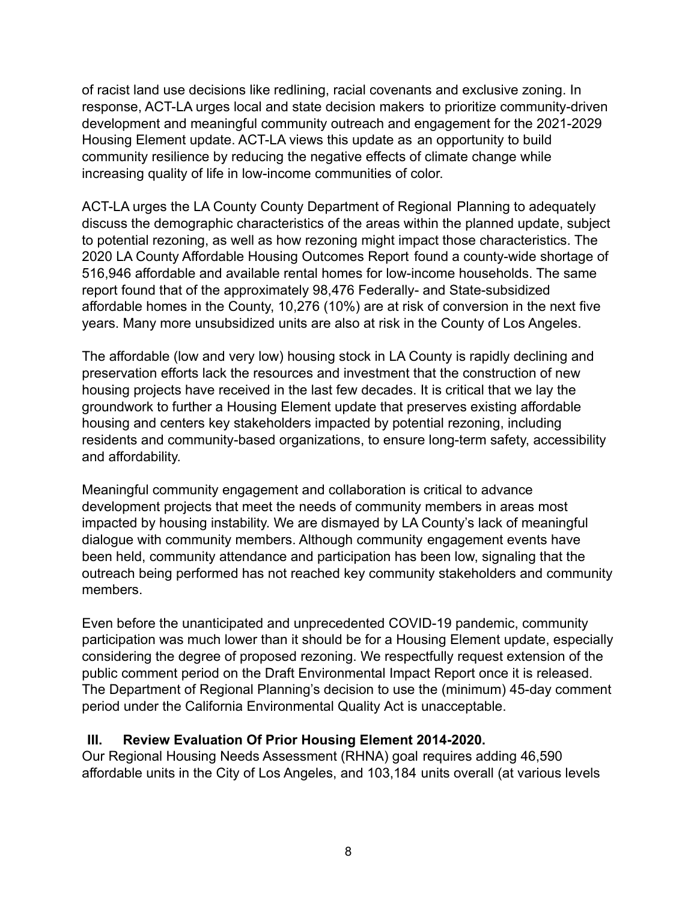of racist land use decisions like redlining, racial covenants and exclusive zoning. In response, ACT-LA urges local and state decision makers to prioritize community-driven development and meaningful community outreach and engagement for the 2021-2029 Housing Element update. ACT-LA views this update as an opportunity to build community resilience by reducing the negative effects of climate change while increasing quality of life in low-income communities of color.

ACT-LA urges the LA County County Department of Regional Planning to adequately discuss the demographic characteristics of the areas within the planned update, subject to potential rezoning, as well as how rezoning might impact those characteristics. The 2020 LA County Affordable Housing Outcomes Report found a county-wide shortage of 516,946 affordable and available rental homes for low-income households. The same report found that of the approximately 98,476 Federally- and State-subsidized affordable homes in the County, 10,276 (10%) are at risk of conversion in the next five years. Many more unsubsidized units are also at risk in the County of Los Angeles.

The affordable (low and very low) housing stock in LA County is rapidly declining and preservation efforts lack the resources and investment that the construction of new housing projects have received in the last few decades. It is critical that we lay the groundwork to further a Housing Element update that preserves existing affordable housing and centers key stakeholders impacted by potential rezoning, including residents and community-based organizations, to ensure long-term safety, accessibility and affordability.

Meaningful community engagement and collaboration is critical to advance development projects that meet the needs of community members in areas most impacted by housing instability. We are dismayed by LA County's lack of meaningful dialogue with community members. Although community engagement events have been held, community attendance and participation has been low, signaling that the outreach being performed has not reached key community stakeholders and community members.

Even before the unanticipated and unprecedented COVID-19 pandemic, community participation was much lower than it should be for a Housing Element update, especially considering the degree of proposed rezoning. We respectfully request extension of the public comment period on the Draft Environmental Impact Report once it is released. The Department of Regional Planning's decision to use the (minimum) 45-day comment period under the California Environmental Quality Act is unacceptable.

#### **III. Review Evaluation Of Prior Housing Element 2014-2020.**

Our Regional Housing Needs Assessment (RHNA) goal requires adding 46,590 affordable units in the City of Los Angeles, and 103,184 units overall (at various levels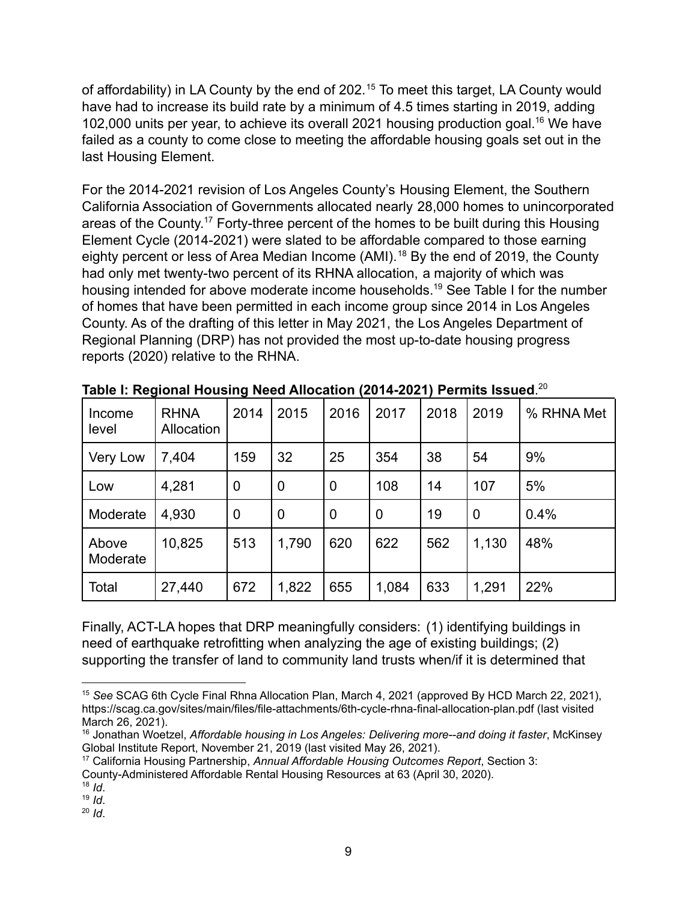of affordability) in LA County by the end of 202.<sup>15</sup> To meet this target, LA County would have had to increase its build rate by a minimum of 4.5 times starting in 2019, adding 102,000 units per year, to achieve its overall 2021 housing production goal.<sup>16</sup> We have failed as a county to come close to meeting the affordable housing goals set out in the last Housing Element.

For the 2014-2021 revision of Los Angeles County's Housing Element, the Southern California Association of Governments allocated nearly 28,000 homes to unincorporated areas of the County.<sup>17</sup> Forty-three percent of the homes to be built during this Housing Element Cycle (2014-2021) were slated to be affordable compared to those earning eighty percent or less of Area Median Income (AMI).<sup>18</sup> By the end of 2019, the County had only met twenty-two percent of its RHNA allocation, a majority of which was housing intended for above moderate income households.19 See Table I for the number of homes that have been permitted in each income group since 2014 in Los Angeles County. As of the drafting of this letter in May 2021, the Los Angeles Department of Regional Planning (DRP) has not provided the most up-to-date housing progress reports (2020) relative to the RHNA.

| Income<br>level   | <b>RHNA</b><br>Allocation | 2014        | 2015        | 2016           | 2017  | 2018 | 2019             | % RHNA Met |
|-------------------|---------------------------|-------------|-------------|----------------|-------|------|------------------|------------|
| Very Low          | 7,404                     | 159         | 32          | 25             | 354   | 38   | 54               | 9%         |
| Low               | 4,281                     | $\mathbf 0$ | 0           | $\overline{0}$ | 108   | 14   | 107              | 5%         |
| Moderate          | 4,930                     | $\mathbf 0$ | $\mathbf 0$ | $\overline{0}$ | 0     | 19   | $\boldsymbol{0}$ | 0.4%       |
| Above<br>Moderate | 10,825                    | 513         | 1,790       | 620            | 622   | 562  | 1,130            | 48%        |
| Total             | 27,440                    | 672         | 1,822       | 655            | 1,084 | 633  | 1,291            | 22%        |

**Table I: Regional Housing Need Allocation (2014-2021) Permits Issued**. 20

Finally, ACT-LA hopes that DRP meaningfully considers: (1) identifying buildings in need of earthquake retrofitting when analyzing the age of existing buildings; (2) supporting the transfer of land to community land trusts when/if it is determined that

<sup>20</sup> *Id*.

<sup>15</sup> *See* SCAG 6th Cycle Final Rhna Allocation Plan, March 4, 2021 (approved By HCD March 22, 2021), https://scag.ca.gov/sites/main/files/file-attachments/6th-cycle-rhna-final-allocation-plan.pdf (last visited March 26, 2021).

<sup>16</sup> Jonathan Woetzel, *Affordable housing in Los Angeles: Delivering more--and doing it faster*, McKinsey Global Institute Report, November 21, 2019 (last visited May 26, 2021).

<sup>17</sup> California Housing Partnership, *Annual Affordable Housing Outcomes Report*, Section 3: County-Administered Affordable Rental Housing Resources at 63 (April 30, 2020).

<sup>18</sup> *Id*.

 $19$  *Id.*